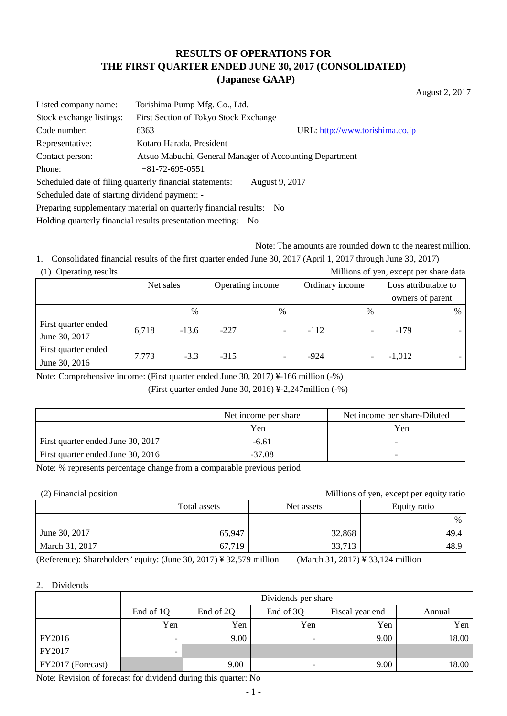## **RESULTS OF OPERATIONS FOR THE FIRST QUARTER ENDED JUNE 30, 2017 (CONSOLIDATED) (Japanese GAAP)**

August 2, 2017

| Listed company name:                                                    | Torishima Pump Mfg. Co., Ltd.                            |                                 |  |  |  |
|-------------------------------------------------------------------------|----------------------------------------------------------|---------------------------------|--|--|--|
| Stock exchange listings:                                                | First Section of Tokyo Stock Exchange                    |                                 |  |  |  |
| Code number:                                                            | 6363                                                     | URL: http://www.torishima.co.jp |  |  |  |
| Representative:                                                         | Kotaro Harada, President                                 |                                 |  |  |  |
| Contact person:                                                         | Atsuo Mabuchi, General Manager of Accounting Department  |                                 |  |  |  |
| Phone:                                                                  | $+81 - 72 - 695 - 0551$                                  |                                 |  |  |  |
|                                                                         | Scheduled date of filing quarterly financial statements: | August 9, 2017                  |  |  |  |
| Scheduled date of starting dividend payment: -                          |                                                          |                                 |  |  |  |
| Preparing supplementary material on quarterly financial results:<br>No. |                                                          |                                 |  |  |  |

Holding quarterly financial results presentation meeting: No

Note: The amounts are rounded down to the nearest million.

1. Consolidated financial results of the first quarter ended June 30, 2017 (April 1, 2017 through June 30, 2017) (1) Operating results Millions of yen, except per share data

| $(1)$ Operating results<br><b>MILLIONS</b> OF you, except per share data |       |           |        |                          |        |                          |                  |                      |  |
|--------------------------------------------------------------------------|-------|-----------|--------|--------------------------|--------|--------------------------|------------------|----------------------|--|
|                                                                          |       | Net sales |        | Operating income         |        | Ordinary income          |                  | Loss attributable to |  |
|                                                                          |       |           |        |                          |        |                          | owners of parent |                      |  |
|                                                                          |       | $\%$      |        | $\%$                     |        | %                        |                  | $\%$                 |  |
| First quarter ended<br>June 30, 2017                                     | 6,718 | $-13.6$   | $-227$ | $\overline{\phantom{0}}$ | $-112$ | -                        | $-179$           |                      |  |
| First quarter ended<br>June 30, 2016                                     | 7,773 | $-3.3$    | $-315$ | $\overline{\phantom{0}}$ | $-924$ | $\overline{\phantom{a}}$ | $-1,012$         |                      |  |

Note: Comprehensive income: (First quarter ended June 30, 2017) ¥-166 million (-%)

(First quarter ended June 30, 2016) ¥-2,247million (-%)

|                                   | Net income per share | Net income per share-Diluted |
|-----------------------------------|----------------------|------------------------------|
|                                   | Yen                  | Yen                          |
| First quarter ended June 30, 2017 | $-6.61$              |                              |
| First quarter ended June 30, 2016 | $-37.08$             | $\overline{\phantom{0}}$     |

Note: % represents percentage change from a comparable previous period

(2) Financial position Millions of yen, except per equity ratio

|                | Total assets | Net assets | Equity ratio |
|----------------|--------------|------------|--------------|
|                |              |            | $\%$         |
| June 30, 2017  | 65,947       | 32,868     | 49.4         |
| March 31, 2017 | 67,719       | 33,713     | 48.9         |

(Reference): Shareholders' equity: (June 30, 2017) ¥ 32,579 million (March 31, 2017) ¥ 33,124 million

### 2. Dividends

|                   | Dividends per share      |                                                     |     |      |       |  |  |  |
|-------------------|--------------------------|-----------------------------------------------------|-----|------|-------|--|--|--|
|                   | End of 1Q                | End of 2Q<br>End of 3Q<br>Fiscal year end<br>Annual |     |      |       |  |  |  |
|                   | Yen                      | Yen                                                 | Yen | Yen  | Yen   |  |  |  |
| FY2016            | -                        | 9.00                                                |     | 9.00 | 18.00 |  |  |  |
| FY2017            | $\overline{\phantom{0}}$ |                                                     |     |      |       |  |  |  |
| FY2017 (Forecast) |                          | 9.00                                                |     | 9.00 | 18.00 |  |  |  |

Note: Revision of forecast for dividend during this quarter: No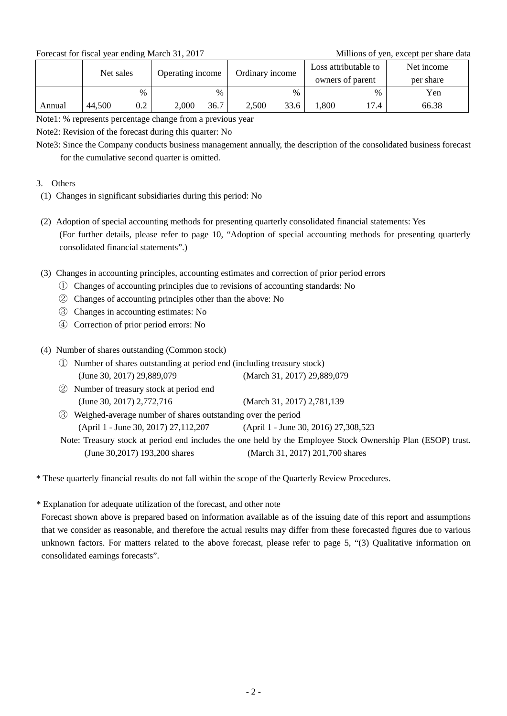Forecast for fiscal year ending March 31, 2017 Millions of yen, except per share data

|        | Net sales |      | Operating income |      | Ordinary income |      | Loss attributable to<br>owners of parent |      | Net income<br>per share |
|--------|-----------|------|------------------|------|-----------------|------|------------------------------------------|------|-------------------------|
|        |           | $\%$ |                  | %    |                 | $\%$ |                                          | $\%$ | Yen                     |
| Annual | 44,500    | 0.2  | 2,000            | 36.7 | 2,500           | 33.6 | ,800                                     | 17.4 | 66.38                   |

Note1: % represents percentage change from a previous year

Note2: Revision of the forecast during this quarter: No

Note3: Since the Company conducts business management annually, the description of the consolidated business forecast for the cumulative second quarter is omitted.

## 3. Others

- (1) Changes in significant subsidiaries during this period: No
- (2) Adoption of special accounting methods for presenting quarterly consolidated financial statements: Yes (For further details, please refer to page 10, "Adoption of special accounting methods for presenting quarterly consolidated financial statements".)
- (3) Changes in accounting principles, accounting estimates and correction of prior period errors
	- ① Changes of accounting principles due to revisions of accounting standards: No
	- ② Changes of accounting principles other than the above: No
	- ③ Changes in accounting estimates: No
	- ④ Correction of prior period errors: No

## (4) Number of shares outstanding (Common stock)

- ① Number of shares outstanding at period end (including treasury stock) (June 30, 2017) 29,889,079 (March 31, 2017) 29,889,079
- ② Number of treasury stock at period end (June 30, 2017) 2,772,716 (March 31, 2017) 2,781,139
- ③ Weighed-average number of shares outstanding over the period (April 1 - June 30, 2017) 27,112,207 (April 1 - June 30, 2016) 27,308,523

Note: Treasury stock at period end includes the one held by the Employee Stock Ownership Plan (ESOP) trust. (June 30,2017) 193,200 shares (March 31, 2017) 201,700 shares

\* These quarterly financial results do not fall within the scope of the Quarterly Review Procedures.

\* Explanation for adequate utilization of the forecast, and other note

Forecast shown above is prepared based on information available as of the issuing date of this report and assumptions that we consider as reasonable, and therefore the actual results may differ from these forecasted figures due to various unknown factors. For matters related to the above forecast, please refer to page 5, "(3) Qualitative information on consolidated earnings forecasts".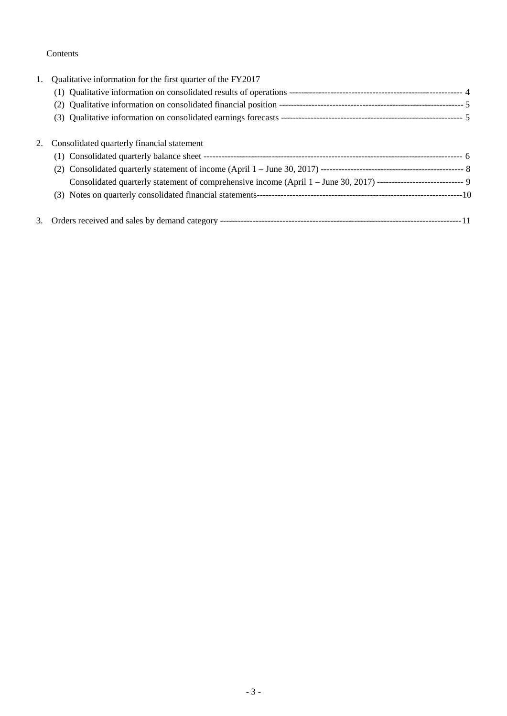## Contents

| 1. | Qualitative information for the first quarter of the FY2017                                                        |  |
|----|--------------------------------------------------------------------------------------------------------------------|--|
|    |                                                                                                                    |  |
|    |                                                                                                                    |  |
|    |                                                                                                                    |  |
| 2. | Consolidated quarterly financial statement                                                                         |  |
|    |                                                                                                                    |  |
|    |                                                                                                                    |  |
|    | Consolidated quarterly statement of comprehensive income (April 1 - June 30, 2017) ----------------------------- 9 |  |
|    |                                                                                                                    |  |
|    |                                                                                                                    |  |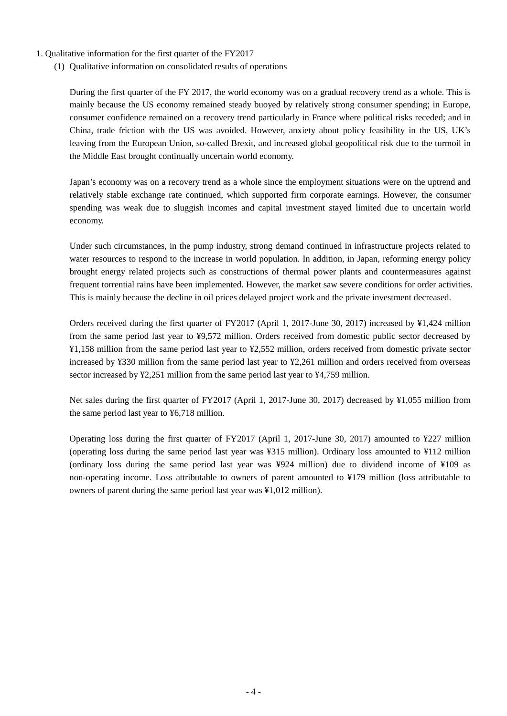- 1. Qualitative information for the first quarter of the FY2017
	- (1) Qualitative information on consolidated results of operations

During the first quarter of the FY 2017, the world economy was on a gradual recovery trend as a whole. This is mainly because the US economy remained steady buoyed by relatively strong consumer spending; in Europe, consumer confidence remained on a recovery trend particularly in France where political risks receded; and in China, trade friction with the US was avoided. However, anxiety about policy feasibility in the US, UK's leaving from the European Union, so-called Brexit, and increased global geopolitical risk due to the turmoil in the Middle East brought continually uncertain world economy.

Japan's economy was on a recovery trend as a whole since the employment situations were on the uptrend and relatively stable exchange rate continued, which supported firm corporate earnings. However, the consumer spending was weak due to sluggish incomes and capital investment stayed limited due to uncertain world economy.

Under such circumstances, in the pump industry, strong demand continued in infrastructure projects related to water resources to respond to the increase in world population. In addition, in Japan, reforming energy policy brought energy related projects such as constructions of thermal power plants and countermeasures against frequent torrential rains have been implemented. However, the market saw severe conditions for order activities. This is mainly because the decline in oil prices delayed project work and the private investment decreased.

Orders received during the first quarter of FY2017 (April 1, 2017-June 30, 2017) increased by ¥1,424 million from the same period last year to ¥9,572 million. Orders received from domestic public sector decreased by ¥1,158 million from the same period last year to ¥2,552 million, orders received from domestic private sector increased by ¥330 million from the same period last year to ¥2,261 million and orders received from overseas sector increased by ¥2,251 million from the same period last year to ¥4,759 million.

Net sales during the first quarter of FY2017 (April 1, 2017-June 30, 2017) decreased by ¥1,055 million from the same period last year to ¥6,718 million.

Operating loss during the first quarter of FY2017 (April 1, 2017-June 30, 2017) amounted to ¥227 million (operating loss during the same period last year was ¥315 million). Ordinary loss amounted to ¥112 million (ordinary loss during the same period last year was ¥924 million) due to dividend income of ¥109 as non-operating income. Loss attributable to owners of parent amounted to ¥179 million (loss attributable to owners of parent during the same period last year was ¥1,012 million).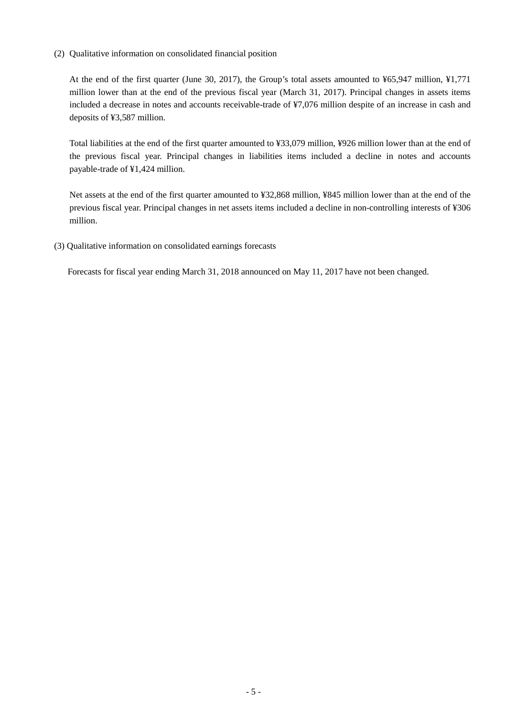(2) Qualitative information on consolidated financial position

At the end of the first quarter (June 30, 2017), the Group's total assets amounted to ¥65,947 million, ¥1,771 million lower than at the end of the previous fiscal year (March 31, 2017). Principal changes in assets items included a decrease in notes and accounts receivable-trade of ¥7,076 million despite of an increase in cash and deposits of ¥3,587 million.

Total liabilities at the end of the first quarter amounted to ¥33,079 million, ¥926 million lower than at the end of the previous fiscal year. Principal changes in liabilities items included a decline in notes and accounts payable-trade of ¥1,424 million.

Net assets at the end of the first quarter amounted to ¥32,868 million, ¥845 million lower than at the end of the previous fiscal year. Principal changes in net assets items included a decline in non-controlling interests of ¥306 million.

(3) Qualitative information on consolidated earnings forecasts

Forecasts for fiscal year ending March 31, 2018 announced on May 11, 2017 have not been changed.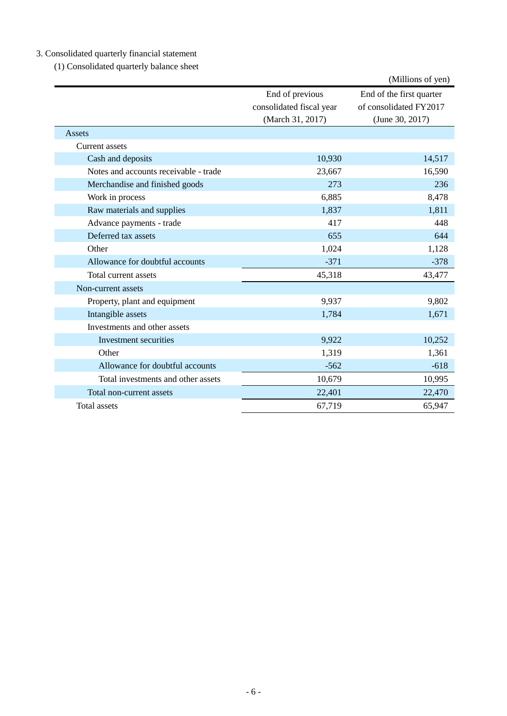# 3. Consolidated quarterly financial statement

(1) Consolidated quarterly balance sheet

|                                       |                          | (Millions of yen)        |  |
|---------------------------------------|--------------------------|--------------------------|--|
|                                       | End of previous          | End of the first quarter |  |
|                                       | consolidated fiscal year | of consolidated FY2017   |  |
|                                       | (March 31, 2017)         | (June 30, 2017)          |  |
| Assets                                |                          |                          |  |
| Current assets                        |                          |                          |  |
| Cash and deposits                     | 10,930                   | 14,517                   |  |
| Notes and accounts receivable - trade | 23,667                   | 16,590                   |  |
| Merchandise and finished goods        | 273                      | 236                      |  |
| Work in process                       | 6,885                    | 8,478                    |  |
| Raw materials and supplies            | 1,837                    | 1,811                    |  |
| Advance payments - trade              | 417                      | 448                      |  |
| Deferred tax assets                   | 655                      | 644                      |  |
| Other                                 | 1,024                    | 1,128                    |  |
| Allowance for doubtful accounts       | $-371$                   | $-378$                   |  |
| Total current assets                  | 45,318                   | 43,477                   |  |
| Non-current assets                    |                          |                          |  |
| Property, plant and equipment         | 9,937                    | 9,802                    |  |
| Intangible assets                     | 1,784                    | 1,671                    |  |
| Investments and other assets          |                          |                          |  |
| Investment securities                 | 9,922                    | 10,252                   |  |
| Other                                 | 1,319                    | 1,361                    |  |
| Allowance for doubtful accounts       | $-562$                   | $-618$                   |  |
| Total investments and other assets    | 10,679                   | 10,995                   |  |
| Total non-current assets              | 22,401                   | 22,470                   |  |
| Total assets                          | 67,719                   | 65,947                   |  |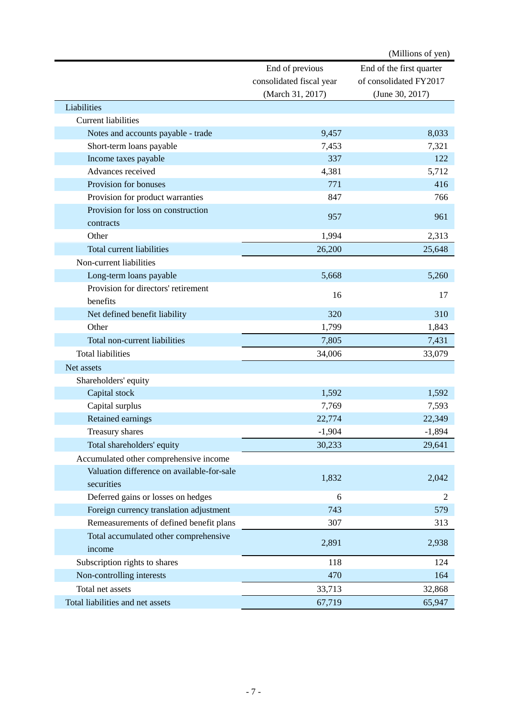|                                            |                          | (Millions of yen)        |
|--------------------------------------------|--------------------------|--------------------------|
|                                            | End of previous          | End of the first quarter |
|                                            | consolidated fiscal year | of consolidated FY2017   |
|                                            | (March 31, 2017)         | (June 30, 2017)          |
| Liabilities                                |                          |                          |
| <b>Current liabilities</b>                 |                          |                          |
| Notes and accounts payable - trade         | 9,457                    | 8,033                    |
| Short-term loans payable                   | 7,453                    | 7,321                    |
| Income taxes payable                       | 337                      | 122                      |
| Advances received                          | 4,381                    | 5,712                    |
| Provision for bonuses                      | 771                      | 416                      |
| Provision for product warranties           | 847                      | 766                      |
| Provision for loss on construction         |                          |                          |
| contracts                                  | 957                      | 961                      |
| Other                                      | 1,994                    | 2,313                    |
| Total current liabilities                  | 26,200                   | 25,648                   |
| Non-current liabilities                    |                          |                          |
| Long-term loans payable                    | 5,668                    | 5,260                    |
| Provision for directors' retirement        |                          |                          |
| benefits                                   | 16                       | 17                       |
| Net defined benefit liability              | 320                      | 310                      |
| Other                                      | 1,799                    | 1,843                    |
| Total non-current liabilities              | 7,805                    | 7,431                    |
| <b>Total liabilities</b>                   | 34,006                   | 33,079                   |
| Net assets                                 |                          |                          |
| Shareholders' equity                       |                          |                          |
| Capital stock                              | 1,592                    | 1,592                    |
| Capital surplus                            | 7,769                    | 7,593                    |
| Retained earnings                          | 22,774                   | 22,349                   |
| Treasury shares                            | $-1,904$                 | $-1,894$                 |
| Total shareholders' equity                 | 30,233                   | 29,641                   |
| Accumulated other comprehensive income     |                          |                          |
| Valuation difference on available-for-sale |                          |                          |
| securities                                 | 1,832                    | 2,042                    |
| Deferred gains or losses on hedges         | 6                        | 2                        |
| Foreign currency translation adjustment    | 743                      | 579                      |
| Remeasurements of defined benefit plans    | 307                      | 313                      |
| Total accumulated other comprehensive      |                          |                          |
| income                                     | 2,891                    | 2,938                    |
| Subscription rights to shares              | 118                      | 124                      |
| Non-controlling interests                  | 470                      | 164                      |
| Total net assets                           | 33,713                   | 32,868                   |
| Total liabilities and net assets           | 67,719                   | 65,947                   |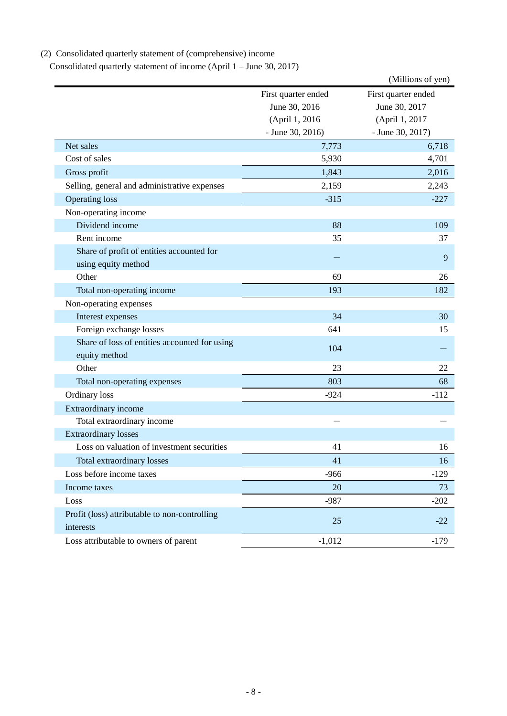# (2) Consolidated quarterly statement of (comprehensive) income

Consolidated quarterly statement of income (April 1 – June 30, 2017)

|                                                            |                     | (Millions of yen)   |
|------------------------------------------------------------|---------------------|---------------------|
|                                                            | First quarter ended | First quarter ended |
|                                                            | June 30, 2016       | June 30, 2017       |
|                                                            | (April 1, 2016      | (April 1, 2017      |
|                                                            | $-$ June 30, 2016)  | - June 30, 2017)    |
| Net sales                                                  | 7,773               | 6,718               |
| Cost of sales                                              | 5,930               | 4,701               |
| Gross profit                                               | 1,843               | 2,016               |
| Selling, general and administrative expenses               | 2,159               | 2,243               |
| <b>Operating loss</b>                                      | $-315$              | $-227$              |
| Non-operating income                                       |                     |                     |
| Dividend income                                            | 88                  | 109                 |
| Rent income                                                | 35                  | 37                  |
| Share of profit of entities accounted for                  |                     | 9                   |
| using equity method                                        |                     |                     |
| Other                                                      | 69                  | 26                  |
| Total non-operating income                                 | 193                 | 182                 |
| Non-operating expenses                                     |                     |                     |
| Interest expenses                                          | 34                  | 30                  |
| Foreign exchange losses                                    | 641                 | 15                  |
| Share of loss of entities accounted for using              | 104                 |                     |
| equity method                                              |                     |                     |
| Other                                                      | 23                  | 22                  |
| Total non-operating expenses                               | 803                 | 68                  |
| Ordinary loss                                              | $-924$              | $-112$              |
| Extraordinary income                                       |                     |                     |
| Total extraordinary income                                 |                     |                     |
| <b>Extraordinary losses</b>                                |                     |                     |
| Loss on valuation of investment securities                 | 41                  | 16                  |
| Total extraordinary losses                                 | 41                  | 16                  |
| Loss before income taxes                                   | $-966$              | $-129$              |
| Income taxes                                               | 20                  | 73                  |
| Loss                                                       | $-987$              | $-202$              |
| Profit (loss) attributable to non-controlling<br>interests | 25                  | $-22$               |
| Loss attributable to owners of parent                      | $-1,012$            | $-179$              |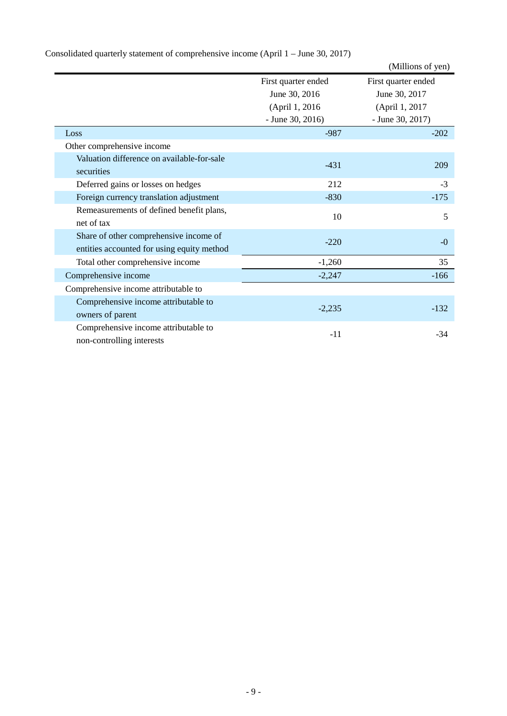|                                                                                      |                     | (Millions of yen)   |
|--------------------------------------------------------------------------------------|---------------------|---------------------|
|                                                                                      | First quarter ended | First quarter ended |
|                                                                                      | June 30, 2016       | June 30, 2017       |
|                                                                                      | (April 1, 2016)     | (April 1, 2017      |
|                                                                                      | $-$ June 30, 2016)  | $-$ June 30, 2017)  |
| Loss                                                                                 | $-987$              | $-202$              |
| Other comprehensive income                                                           |                     |                     |
| Valuation difference on available-for-sale<br>securities                             | $-431$              | 209                 |
| Deferred gains or losses on hedges                                                   | 212                 | $-3$                |
| Foreign currency translation adjustment                                              | $-830$              | $-175$              |
| Remeasurements of defined benefit plans,<br>net of tax                               | 10                  | 5                   |
| Share of other comprehensive income of<br>entities accounted for using equity method | $-220$              | $-0$                |
| Total other comprehensive income                                                     | $-1,260$            | 35                  |
| Comprehensive income                                                                 | $-2,247$            | $-166$              |
| Comprehensive income attributable to                                                 |                     |                     |
| Comprehensive income attributable to<br>owners of parent                             | $-2,235$            | $-132$              |
| Comprehensive income attributable to<br>non-controlling interests                    | $-11$               | $-34$               |

Consolidated quarterly statement of comprehensive income (April 1 – June 30, 2017)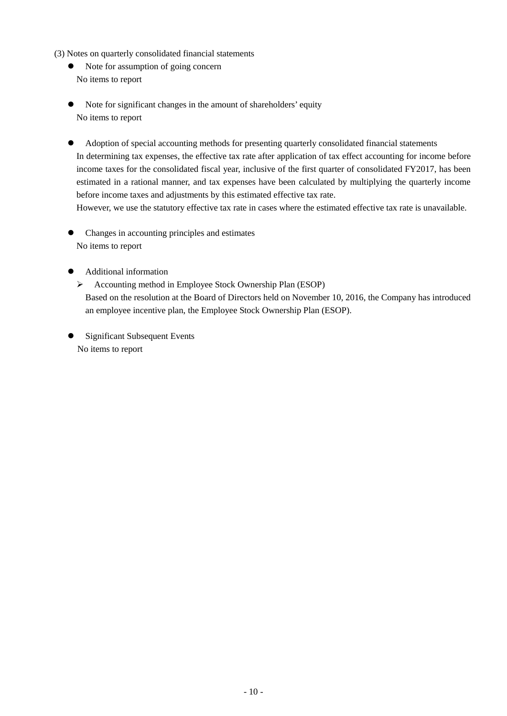- (3) Notes on quarterly consolidated financial statements
	- Note for assumption of going concern No items to report
	- Note for significant changes in the amount of shareholders' equity No items to report
	- Adoption of special accounting methods for presenting quarterly consolidated financial statements In determining tax expenses, the effective tax rate after application of tax effect accounting for income before income taxes for the consolidated fiscal year, inclusive of the first quarter of consolidated FY2017, has been estimated in a rational manner, and tax expenses have been calculated by multiplying the quarterly income before income taxes and adjustments by this estimated effective tax rate.

However, we use the statutory effective tax rate in cases where the estimated effective tax rate is unavailable.

- Changes in accounting principles and estimates No items to report
- Additional information
	- Accounting method in Employee Stock Ownership Plan (ESOP) Based on the resolution at the Board of Directors held on November 10, 2016, the Company has introduced an employee incentive plan, the Employee Stock Ownership Plan (ESOP).
- Significant Subsequent Events No items to report